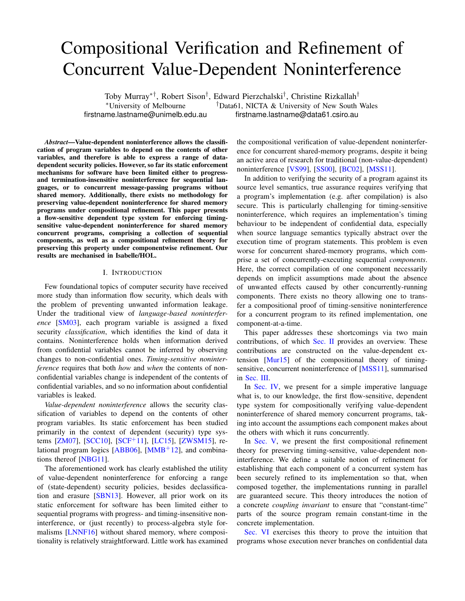# Compositional Verification and Refinement of Concurrent Value-Dependent Noninterference

Toby Murray∗†, Robert Sison† , Edward Pierzchalski† , Christine Rizkallah†

<sup>∗</sup>University of Melbourne †Data61, NICTA & University of New South Wales firstname.lastname@unimelb.edu.au firstname.lastname@data61.csiro.au

*Abstract*—Value-dependent noninterference allows the classification of program variables to depend on the contents of other variables, and therefore is able to express a range of datadependent security policies. However, so far its static enforcement mechanisms for software have been limited either to progressand termination-insensitive noninterference for sequential languages, or to concurrent message-passing programs without shared memory. Additionally, there exists no methodology for preserving value-dependent noninterference for shared memory programs under compositional refinement. This paper presents a flow-sensitive dependent type system for enforcing timingsensitive value-dependent noninterference for shared memory concurrent programs, comprising a collection of sequential components, as well as a compositional refinement theory for preserving this property under componentwise refinement. Our results are mechanised in Isabelle/HOL.

## I. INTRODUCTION

Few foundational topics of computer security have received more study than information flow security, which deals with the problem of preventing unwanted information leakage. Under the traditional view of *language-based noninterference* [\[SM03\]](#page-14-0), each program variable is assigned a fixed security *classification*, which identifies the kind of data it contains. Noninterference holds when information derived from confidential variables cannot be inferred by observing changes to non-confidential ones. *Timing-sensitive noninterference* requires that both *how* and *when* the contents of nonconfidential variables change is independent of the contents of confidential variables, and so no information about confidential variables is leaked.

*Value-dependent noninterference* allows the security classification of variables to depend on the contents of other program variables. Its static enforcement has been studied primarily in the context of dependent (security) type systems [\[ZM07\]](#page-14-1), [\[SCC10\]](#page-14-2), [\[SCF](#page-14-3)+11], [\[LC15\]](#page-14-4), [\[ZWSM15\]](#page-14-5), re-lational program logics [\[ABB06\]](#page-14-6), [ $MMB+12$ ], and combinations thereof [\[NBG11\]](#page-14-8).

The aforementioned work has clearly established the utility of value-dependent noninterference for enforcing a range of (state-dependent) security policies, besides declassification and erasure [\[SBN13\]](#page-14-9). However, all prior work on its static enforcement for software has been limited either to sequential programs with progress- and timing-insensitive noninterference, or (just recently) to process-algebra style formalisms [\[LNNF16\]](#page-14-10) without shared memory, where compositionality is relatively straightforward. Little work has examined the compositional verification of value-dependent noninterference for concurrent shared-memory programs, despite it being an active area of research for traditional (non-value-dependent) noninterference [\[VS99\]](#page-14-11), [\[SS00\]](#page-14-12), [\[BC02\]](#page-14-13), [\[MSS11\]](#page-14-14).

In addition to verifying the security of a program against its source level semantics, true assurance requires verifying that a program's implementation (e.g. after compilation) is also secure. This is particularly challenging for timing-sensitive noninterference, which requires an implementation's timing behaviour to be independent of confidential data, especially when source language semantics typically abstract over the execution time of program statements. This problem is even worse for concurrent shared-memory programs, which comprise a set of concurrently-executing sequential *components*. Here, the correct compilation of one component necessarily depends on implicit assumptions made about the absence of unwanted effects caused by other concurrently-running components. There exists no theory allowing one to transfer a compositional proof of timing-sensitive noninterference for a concurrent program to its refined implementation, one component-at-a-time.

This paper addresses these shortcomings via two main contributions, of which [Sec. II](#page-1-0) provides an overview. These contributions are constructed on the value-dependent extension [\[Mur15\]](#page-14-15) of the compositional theory of timing-sensitive, concurrent noninterference of [\[MSS11\]](#page-14-14), summarised in [Sec. III.](#page-4-0)

In [Sec. IV,](#page-6-0) we present for a simple imperative language what is, to our knowledge, the first flow-sensitive, dependent type system for compositionally verifying value-dependent noninterference of shared memory concurrent programs, taking into account the assumptions each component makes about the others with which it runs concurrently.

In [Sec. V,](#page-9-0) we present the first compositional refinement theory for preserving timing-sensitive, value-dependent noninterference. We define a suitable notion of refinement for establishing that each component of a concurrent system has been securely refined to its implementation so that, when composed together, the implementations running in parallel are guaranteed secure. This theory introduces the notion of a concrete *coupling invariant* to ensure that "constant-time" parts of the source program remain constant-time in the concrete implementation.

[Sec. VI](#page-12-0) exercises this theory to prove the intuition that programs whose execution never branches on confidential data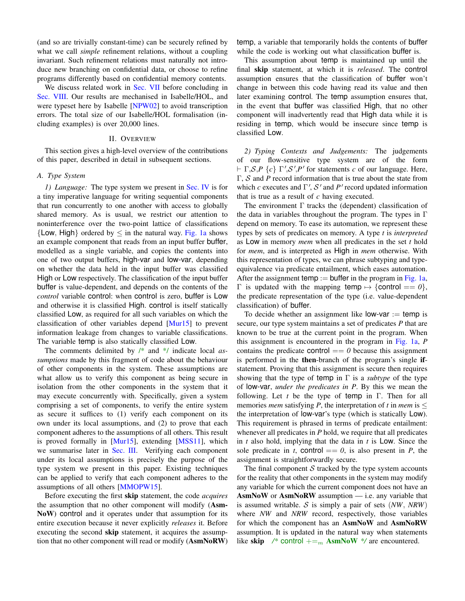(and so are trivially constant-time) can be securely refined by what we call *simple* refinement relations, without a coupling invariant. Such refinement relations must naturally not introduce new branching on confidential data, or choose to refine programs differently based on confidential memory contents.

We discuss related work in [Sec. VII](#page-13-0) before concluding in [Sec. VIII.](#page-13-1) Our results are mechanised in Isabelle/HOL, and were typeset here by Isabelle [\[NPW02\]](#page-14-16) to avoid transcription errors. The total size of our Isabelle/HOL formalisation (including examples) is over 20,000 lines.

## II. OVERVIEW

<span id="page-1-0"></span>This section gives a high-level overview of the contributions of this paper, described in detail in subsequent sections.

## <span id="page-1-1"></span>*A. Type System*

*1) Language:* The type system we present in [Sec. IV](#page-6-0) is for a tiny imperative language for writing sequential components that run concurrently to one another with access to globally shared memory. As is usual, we restrict our attention to noninterference over the two-point lattice of classifications  ${Low, High}$  ordered by  $\leq$  in the natural way. [Fig. 1a](#page-2-0) shows an example component that reads from an input buffer buffer, modelled as a single variable, and copies the contents into one of two output buffers, high-var and low-var, depending on whether the data held in the input buffer was classified High or Low respectively. The classification of the input buffer buffer is value-dependent, and depends on the contents of the *control* variable control: when control is zero, buffer is Low and otherwise it is classified High. control is itself statically classified Low, as required for all such variables on which the classification of other variables depend [\[Mur15\]](#page-14-15) to prevent information leakage from changes to variable classifications. The variable temp is also statically classified Low.

The comments delimited by /\* and \*/ indicate local *assumptions* made by this fragment of code about the behaviour of other components in the system. These assumptions are what allow us to verify this component as being secure in isolation from the other components in the system that it may execute concurrently with. Specifically, given a system comprising a set of components, to verify the entire system as secure it suffices to (1) verify each component on its own under its local assumptions, and (2) to prove that each component adheres to the assumptions of all others. This result is proved formally in [\[Mur15\]](#page-14-15), extending [\[MSS11\]](#page-14-14), which we summarise later in [Sec. III.](#page-4-0) Verifying each component under its local assumptions is precisely the purpose of the type system we present in this paper. Existing techniques can be applied to verify that each component adheres to the assumptions of all others [\[MMOPW15\]](#page-14-17).

Before executing the first skip statement, the code *acquires* the assumption that no other component will modify (Asm-NoW) control and it operates under that assumption for its entire execution because it never explicitly *releases* it. Before executing the second skip statement, it acquires the assumption that no other component will read or modify (AsmNoRW)

temp, a variable that temporarily holds the contents of buffer while the code is working out what classification buffer is.

This assumption about temp is maintained up until the final skip statement, at which it is *released*. The control assumption ensures that the classification of buffer won't change in between this code having read its value and then later examining control. The temp assumption ensures that, in the event that buffer was classified High, that no other component will inadvertently read that High data while it is residing in temp, which would be insecure since temp is classified Low.

*2) Typing Contexts and Judgements:* The judgements of our flow-sensitive type system are of the form  $\vdash \Gamma$ , S, P {*c*}  $\Gamma'$ , S', P' for statements *c* of our language. Here, Γ, S and *P* record information that is true about the state from which  $c$  executes and  $\Gamma'$ ,  $S'$  and  $P'$  record updated information that is true as a result of *c* having executed.

The environment  $\Gamma$  tracks the (dependent) classification of the data in variables throughout the program. The types in Γ depend on memory. To ease its automation, we represent these types by sets of predicates on memory. A type *t* is *interpreted* as Low in memory *mem* when all predicates in the set *t* hold for *mem*, and is interpreted as High in *mem* otherwise. With this representation of types, we can phrase subtyping and typeequivalence via predicate entailment, which eases automation. After the assignment temp := buffer in the program in [Fig. 1a,](#page-2-0)  $Γ$  is updated with the mapping temp  $\mapsto$  {control == *0*}, the predicate representation of the type (i.e. value-dependent classification) of buffer.

To decide whether an assignment like  $low\text{-}\mathsf{var} := \text{temp}$  is secure, our type system maintains a set of predicates *P* that are known to be true at the current point in the program. When this assignment is encountered in the program in [Fig. 1a,](#page-2-0) *P* contains the predicate control  $== 0$  because this assignment is performed in the then-branch of the program's single ifstatement. Proving that this assignment is secure then requires showing that the type of temp in  $\Gamma$  is a *subtype* of the type of low-var, *under the predicates in P*. By this we mean the following. Let *t* be the type of temp in Γ. Then for all memories *mem* satisfying *P*, the interpretation of *t* in *mem* is  $\leq$ the interpretation of low-var's type (which is statically Low). This requirement is phrased in terms of predicate entailment: whenever all predicates in *P* hold, we require that all predicates in *t* also hold, implying that the data in *t* is Low. Since the sole predicate in *t*, control  $== 0$ , is also present in *P*, the assignment is straightforwardly secure.

The final component  $S$  tracked by the type system accounts for the reality that other components in the system may modify any variable for which the current component does not have an  $AsmNow$  or  $AsmNoRW$  assumption — i.e. any variable that is assumed writable. S is simply a pair of sets  $(NW, NRW)$ where *NW* and *NRW* record, respectively, those variables for which the component has an AsmNoW and AsmNoRW assumption. It is updated in the natural way when statements like skip  $\frac{1}{2}$  control  $\frac{1}{2}$  AsmNoW  $\frac{1}{2}$  are encountered.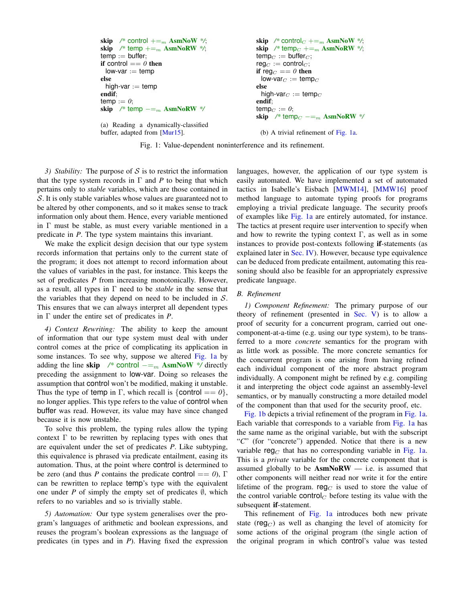```
skip /* control +=_m AsmNoW */;
\mathbf{skip} /* temp +=<sub>m</sub> AsmNoRW */;
temp := buffer;
if control == 0 then
 low\text{-}var := tempelse
 high-var := temp
endif;
temp := 0;
skip /* temp - =_m AsmNoRW */
(a) Reading a dynamically-classified
buffer, adapted from [Mur15].
                                                             skip /* control<sub>C</sub> +=<sub>m</sub> AsmNoW */;
                                                             skip /* temp<sub>C</sub> +=<sub>m</sub> AsmNoRW */;
                                                             temp_C := buffer_C;
                                                             \text{reg}_C := \text{control}_C;
                                                             if reg_C == 0 then
                                                              low\text{-}\mathsf{var}_C := temp_Celse
                                                              high-var_C := \text{temp}_Cendif;
                                                             temp_C := 0;skip /* temp<sub>C</sub> - =_m AsmNoRW */
                                                              (b) A trivial refinement of Fig. 1a.
```
Fig. 1: Value-dependent noninterference and its refinement.

*3) Stability:* The purpose of  $S$  is to restrict the information that the type system records in  $\Gamma$  and  $P$  to being that which pertains only to *stable* variables, which are those contained in S. It is only stable variables whose values are guaranteed not to be altered by other components, and so it makes sense to track information only about them. Hence, every variable mentioned in Γ must be stable, as must every variable mentioned in a predicate in *P*. The type system maintains this invariant.

We make the explicit design decision that our type system records information that pertains only to the current state of the program; it does not attempt to record information about the values of variables in the past, for instance. This keeps the set of predicates *P* from increasing monotonically. However, as a result, all types in Γ need to be *stable* in the sense that the variables that they depend on need to be included in  $S$ . This ensures that we can always interpret all dependent types in Γ under the entire set of predicates in *P*.

*4) Context Rewriting:* The ability to keep the amount of information that our type system must deal with under control comes at the price of complicating its application in some instances. To see why, suppose we altered [Fig. 1a](#page-2-0) by adding the line skip  $\frac{\partial^*}{\partial t}$  control  $-\frac{m}{m}$  AsmNoW \*/ directly preceding the assignment to low-var. Doing so releases the assumption that control won't be modified, making it unstable. Thus the type of temp in Γ, which recall is  $\{\text{control} == 0\},\$ no longer applies. This type refers to the value of control when buffer was read. However, its value may have since changed because it is now unstable.

To solve this problem, the typing rules allow the typing context  $\Gamma$  to be rewritten by replacing types with ones that are equivalent under the set of predicates *P*. Like subtyping, this equivalence is phrased via predicate entailment, easing its automation. Thus, at the point where control is determined to be zero (and thus *P* contains the predicate control == 0),  $\Gamma$ can be rewritten to replace temp's type with the equivalent one under *P* of simply the empty set of predicates  $\emptyset$ , which refers to no variables and so is trivially stable.

*5) Automation:* Our type system generalises over the program's languages of arithmetic and boolean expressions, and reuses the program's boolean expressions as the language of predicates (in types and in *P*). Having fixed the expression languages, however, the application of our type system is easily automated. We have implemented a set of automated tactics in Isabelle's Eisbach [\[MWM14\]](#page-14-18), [\[MMW16\]](#page-14-19) proof method language to automate typing proofs for programs employing a trivial predicate language. The security proofs of examples like [Fig. 1a](#page-2-0) are entirely automated, for instance. The tactics at present require user intervention to specify when and how to rewrite the typing context  $\Gamma$ , as well as in some instances to provide post-contexts following if-statements (as explained later in [Sec. IV\)](#page-6-0). However, because type equivalence can be deduced from predicate entailment, automating this reasoning should also be feasible for an appropriately expressive predicate language.

# <span id="page-2-1"></span>*B. Refinement*

*1) Component Refinement:* The primary purpose of our theory of refinement (presented in [Sec. V\)](#page-9-0) is to allow a proof of security for a concurrent program, carried out onecomponent-at-a-time (e.g. using our type system), to be transferred to a more *concrete* semantics for the program with as little work as possible. The more concrete semantics for the concurrent program is one arising from having refined each individual component of the more abstract program individually. A component might be refined by e.g. compiling it and interpreting the object code against an assembly-level semantics, or by manually constructing a more detailed model of the component than that used for the security proof, etc.

[Fig. 1b](#page-2-0) depicts a trivial refinement of the program in [Fig. 1a.](#page-2-0) Each variable that corresponds to a variable from [Fig. 1a](#page-2-0) has the same name as the original variable, but with the subscript "*C*" (for "concrete") appended. Notice that there is a new variable reg<sub>C</sub> that has no corresponding variable in [Fig. 1a.](#page-2-0) This is a *private* variable for the concrete component that is assumed globally to be  $AsmNoRW$  - i.e. is assumed that other components will neither read nor write it for the entire lifetime of the program. reg<sub>C</sub> is used to store the value of the control variable control<sub>C</sub> before testing its value with the subsequent if-statement.

This refinement of [Fig. 1a](#page-2-0) introduces both new private state (reg<sub>C</sub>) as well as changing the level of atomicity for some actions of the original program (the single action of the original program in which control's value was tested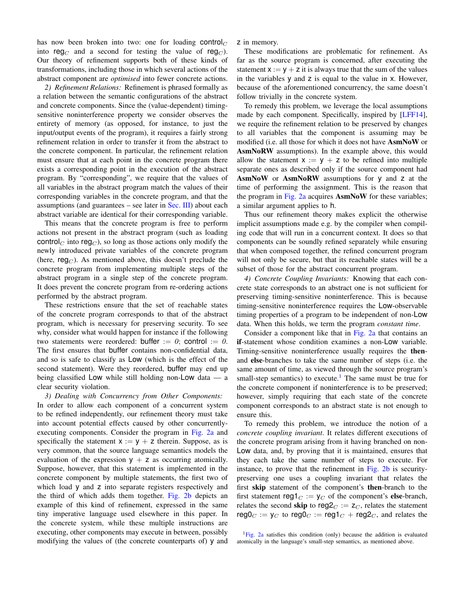has now been broken into two: one for loading control $<sub>C</sub>$ </sub> into reg<sub>C</sub> and a second for testing the value of reg<sub>C</sub>). Our theory of refinement supports both of these kinds of transformations, including those in which several actions of the abstract component are *optimised* into fewer concrete actions.

*2) Refinement Relations:* Refinement is phrased formally as a relation between the semantic configurations of the abstract and concrete components. Since the (value-dependent) timingsensitive noninterference property we consider observes the entirety of memory (as opposed, for instance, to just the input/output events of the program), it requires a fairly strong refinement relation in order to transfer it from the abstract to the concrete component. In particular, the refinement relation must ensure that at each point in the concrete program there exists a corresponding point in the execution of the abstract program. By "corresponding", we require that the values of all variables in the abstract program match the values of their corresponding variables in the concrete program, and that the assumptions (and guarantees  $-$  see later in [Sec. III\)](#page-4-0) about each abstract variable are identical for their corresponding variable.

This means that the concrete program is free to perform actions not present in the abstract program (such as loading control<sub>C</sub> into reg<sub>C</sub>), so long as those actions only modify the newly introduced private variables of the concrete program (here, reg<sub>C</sub>). As mentioned above, this doesn't preclude the concrete program from implementing multiple steps of the abstract program in a single step of the concrete program. It does prevent the concrete program from re-ordering actions performed by the abstract program.

These restrictions ensure that the set of reachable states of the concrete program corresponds to that of the abstract program, which is necessary for preserving security. To see why, consider what would happen for instance if the following two statements were reordered: buffer  $:= 0$ ; control  $:= 0$ . The first ensures that buffer contains non-confidential data, and so is safe to classify as Low (which is the effect of the second statement). Were they reordered, buffer may end up being classified Low while still holding non-Low data — a clear security violation.

*3) Dealing with Concurrency from Other Components:* In order to allow each component of a concurrent system to be refined independently, our refinement theory must take into account potential effects caused by other concurrentlyexecuting components. Consider the program in [Fig. 2a](#page-4-1) and specifically the statement  $x := y + z$  therein. Suppose, as is very common, that the source language semantics models the evaluation of the expression  $y + z$  as occurring atomically. Suppose, however, that this statement is implemented in the concrete component by multiple statements, the first two of which load y and z into separate registers respectively and the third of which adds them together. [Fig. 2b](#page-4-1) depicts an example of this kind of refinement, expressed in the same tiny imperative language used elsewhere in this paper. In the concrete system, while these multiple instructions are executing, other components may execute in between, possibly modifying the values of (the concrete counterparts of) y and z in memory.

These modifications are problematic for refinement. As far as the source program is concerned, after executing the statement  $x := y + z$  it is always true that the sum of the values in the variables y and z is equal to the value in x. However, because of the aforementioned concurrency, the same doesn't follow trivially in the concrete system.

To remedy this problem, we leverage the local assumptions made by each component. Specifically, inspired by [\[LFF14\]](#page-14-20), we require the refinement relation to be preserved by changes to all variables that the component is assuming may be modified (i.e. all those for which it does not have AsmNoW or AsmNoRW assumptions). In the example above, this would allow the statement  $x := y + z$  to be refined into multiple separate ones as described only if the source component had AsmNoW or AsmNoRW assumptions for y and z at the time of performing the assignment. This is the reason that the program in [Fig. 2a](#page-4-1) acquires AsmNoW for these variables; a similar argument applies to h.

Thus our refinement theory makes explicit the otherwise implicit assumptions made e.g. by the compiler when compiling code that will run in a concurrent context. It does so that components can be soundly refined separately while ensuring that when composed together, the refined concurrent program will not only be secure, but that its reachable states will be a subset of those for the abstract concurrent program.

*4) Concrete Coupling Invariants:* Knowing that each concrete state corresponds to an abstract one is not sufficient for preserving timing-sensitive noninterference. This is because timing-sensitive noninterference requires the Low-observable timing properties of a program to be independent of non-Low data. When this holds, we term the program *constant time*.

Consider a component like that in [Fig. 2a](#page-4-1) that contains an if-statement whose condition examines a non-Low variable. Timing-sensitive noninterference usually requires the thenand else-branches to take the same number of steps (i.e. the same amount of time, as viewed through the source program's small-step semantics) to execute.<sup>[1](#page-3-0)</sup> The same must be true for the concrete component if noninterference is to be preserved; however, simply requiring that each state of the concrete component corresponds to an abstract state is not enough to ensure this.

To remedy this problem, we introduce the notion of a *concrete coupling invariant*. It relates different executions of the concrete program arising from it having branched on non-Low data, and, by proving that it is maintained, ensures that they each take the same number of steps to execute. For instance, to prove that the refinement in [Fig. 2b](#page-4-1) is securitypreserving one uses a coupling invariant that relates the first skip statement of the component's then-branch to the first statement reg1 $_C := y_C$  of the component's else-branch, relates the second skip to reg $2<sub>C</sub> := z<sub>C</sub>$ , relates the statement reg0<sub>C</sub> :=  $y_C$  to reg0<sub>C</sub> := reg1<sub>C</sub> + reg2<sub>C</sub>, and relates the

<span id="page-3-0"></span> ${}^{1}$ [Fig. 2a](#page-4-1) satisfies this condition (only) because the addition is evaluated atomically in the language's small-step semantics, as mentioned above.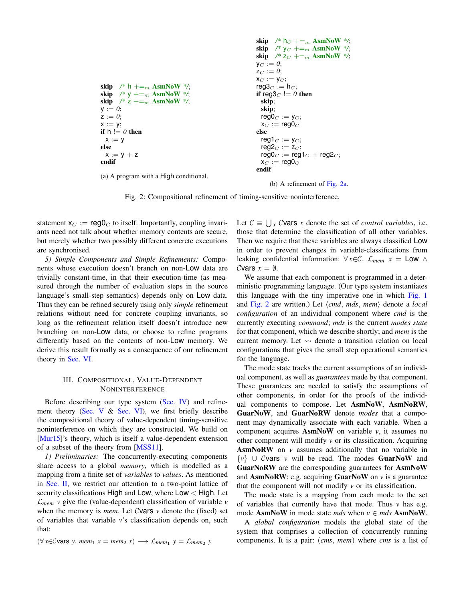```
skip /* h +=_{m} AsmNoW */;
skip /* y +=<sub>m</sub> AsmNoW */;
\sin /* z +=<sub>m</sub> AsmNoW */;
y := 0;
z := 0;x := y;
if h := 0 then
 x := yelse
 x := y + zendif
(a) A program with a High conditional.
                                                                \mathbf{skip} /* \mathsf{h}_C +=<sub>m</sub> AsmNoW */;
                                                                skip /* y_C += m AsmNoW */;
                                                                skip /* z_C +=<sub>m</sub> AsmNoW */;
                                                                y_C := 0;z_C := 0;x_C := y_C;\mathsf{reg3}_C := \mathsf{h}_C;if reg3_C := 0 then
                                                                  skip;
                                                                  skip;
                                                                  \mathsf{reg0}_C := \mathsf{y}_C;x_C := \text{reg0}_Celse
                                                                  reg1_C := y_C;
                                                                  reg2_C := z_C;
                                                                  \text{reg0}_C := \text{reg1}_C + \text{reg2}_C;x_C := \text{reg0}_Cendif
```
(b) A refinement of [Fig. 2a.](#page-4-1)

Fig. 2: Compositional refinement of timing-sensitive noninterference.

statement  $x_C := \text{reg0}_C$  to itself. Importantly, coupling invariants need not talk about whether memory contents are secure, but merely whether two possibly different concrete executions are synchronised.

*5) Simple Components and Simple Refinements:* Components whose execution doesn't branch on non-Low data are trivially constant-time, in that their execution-time (as measured through the number of evaluation steps in the source language's small-step semantics) depends only on Low data. Thus they can be refined securely using only *simple* refinement relations without need for concrete coupling invariants, so long as the refinement relation itself doesn't introduce new branching on non-Low data, or choose to refine programs differently based on the contents of non-Low memory. We derive this result formally as a consequence of our refinement theory in [Sec. VI.](#page-12-0)

# III. COMPOSITIONAL, VALUE-DEPENDENT NONINTERFERENCE

<span id="page-4-0"></span>Before describing our type system [\(Sec. IV\)](#page-6-0) and refine-ment theory [\(Sec. V](#page-9-0)  $\&$  [Sec. VI\)](#page-12-0), we first briefly describe the compositional theory of value-dependent timing-sensitive noninterference on which they are constructed. We build on [\[Mur15\]](#page-14-15)'s theory, which is itself a value-dependent extension of a subset of the theory from [\[MSS11\]](#page-14-14).

*1) Preliminaries:* The concurrently-executing components share access to a global *memory*, which is modelled as a mapping from a finite set of *variables* to *values*. As mentioned in [Sec. II,](#page-1-0) we restrict our attention to a two-point lattice of security classifications High and Low, where Low < High. Let  $\mathcal{L}_{mem}$  *v* give the (value-dependent) classification of variable *v* when the memory is *mem*. Let Cvars  $\nu$  denote the (fixed) set of variables that variable *v*'s classification depends on, such that:

$$
(\forall x \in \mathcal{C} \text{vars } y. \text{ mem}_1 x = \text{mem}_2 x) \longrightarrow \mathcal{L}_{\text{mem}_1} y = \mathcal{L}_{\text{mem}_2} y
$$

Let  $C \equiv \bigcup_{x} C$ **vars** *x* denote the set of *control variables*, i.e. those that determine the classification of all other variables. Then we require that these variables are always classified Low in order to prevent changes in variable-classifications from leaking confidential information:  $\forall x \in \mathcal{C}$ .  $\mathcal{L}_{mem}$   $x = Low \land$ Cvars  $x = \emptyset$ .

We assume that each component is programmed in a deterministic programming language. (Our type system instantiates this language with the tiny imperative one in which [Fig. 1](#page-2-0) and [Fig. 2](#page-4-1) are written.) Let  $\langle cmd, mds, mem \rangle$  denote a *local configuration* of an individual component where *cmd* is the currently executing *command*; *mds* is the current *modes state* for that component, which we describe shortly; and *mem* is the current memory. Let  $\rightsquigarrow$  denote a transition relation on local configurations that gives the small step operational semantics for the language.

The mode state tracks the current assumptions of an individual component, as well as *guarantees* made by that component. These guarantees are needed to satisfy the assumptions of other components, in order for the proofs of the individual components to compose. Let AsmNoW, AsmNoRW, GuarNoW, and GuarNoRW denote *modes* that a component may dynamically associate with each variable. When a component acquires AsmNoW on variable *v*, it assumes no other component will modify *v* or its classification. Acquiring AsmNoRW on *v* assumes additionally that no variable in {*v*} ∪ Cvars *v* will be read. The modes GuarNoW and GuarNoRW are the corresponding guarantees for AsmNoW and  $AsmNoRW$ ; e.g. acquiring  $GuarNoW$  on  $\nu$  is a guarantee that the component will not modify  $\nu$  or its classification.

The mode state is a mapping from each mode to the set of variables that currently have that mode. Thus *v* has e.g. mode  $\text{AsmNow}$  in mode state *mds* when  $v \in mds$   $\text{AsmNow}.$ 

A *global configuration* models the global state of the system that comprises a collection of concurrently running components. It is a pair: (*cms*, *mem*) where *cms* is a list of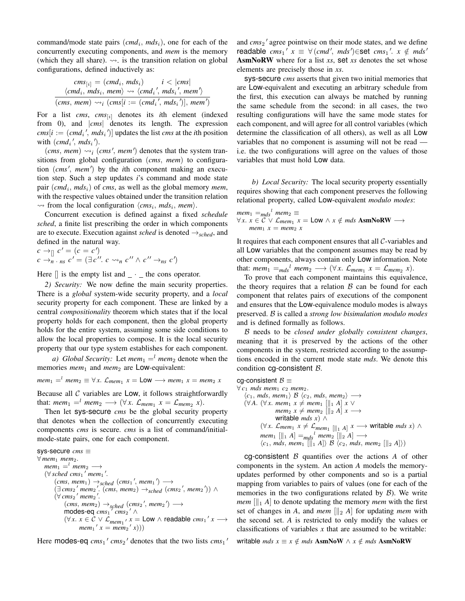command/mode state pairs (cmd<sub>i</sub>, mds<sub>i</sub>), one for each of the concurrently executing components, and *mem* is the memory (which they all share).  $\rightsquigarrow$  is the transition relation on global configurations, defined inductively as:

$$
cm s_{[i]} = (cmd_i, mds_i) \qquad i < |cms|
$$
\n
$$
\langle cmd_i, mds_i, mem \rangle \rightsquigarrow \langle cmd_i', mds_i', mem' \rangle
$$
\n
$$
(cms, mem) \rightsquigarrow i (cms[i := (cmd_i', mds_i')], mem')
$$

For a list *cms*, *cms*<sup>[i]</sup> denotes its *i*th element (indexed from 0), and |*cms*| denotes its length. The expression  $cms[i] := (cmd<sub>i</sub>'', mds<sub>i</sub>'')]$  updates the list *cms* at the *i*th position with  $(cmd_i', mds_i')$ .

 $(cms, mem) \rightarrow_i (cms', mem')$  denotes that the system transitions from global configuration (*cms*, *mem*) to configuration (cms', mem') by the *i*th component making an execution step. Such a step updates *i*'s command and mode state pair (*cmd*<sup>i</sup> , *mds*i) of *cms*, as well as the global memory *mem*, with the respective values obtained under the transition relation  $\rightsquigarrow$  from the local configuration  $\langle cms_i, mds_i, mem \rangle$ .

Concurrent execution is defined against a fixed *schedule sched*, a finite list prescribing the order in which components are to execute. Execution against *sched* is denoted  $\rightarrow$ <sub>sched</sub>, and defined in the natural way.

 $c \rightarrow_{\parallel} c' = (c = c')$  $c \rightarrow n$  · *ns*  $c' = (\exists c'' \cdot c \leadsto_n c'' \land c'' \rightarrow_n c')$ 

Here  $\parallel$  is the empty list and  $\perp$   $\perp$  the cons operator.

*2) Security:* We now define the main security properties. There is a *global* system-wide security property, and a *local* security property for each component. These are linked by a central *compositionality* theorem which states that if the local property holds for each component, then the global property holds for the entire system, assuming some side conditions to allow the local properties to compose. It is the local security property that our type system establishes for each component.

*a)* Global Security: Let  $mem_1 =^l$  mem<sub>2</sub> denote when the memories *mem*<sub>1</sub> and *mem*<sub>2</sub> are Low-equivalent:

 $m$ *em*<sub>1</sub>  $\equiv$   $\equiv$   $\forall$  *x*.  $\mathcal{L}_{mem_1}$   $x =$  **LOW**  $\longrightarrow$   $mem_1$   $x =$   $mem_2$   $x$ 

Because all  $C$  variables are Low, it follows straightforwardly that:  $mem_1 =^l mem_2 \longrightarrow (\forall x. \; \mathcal{L}_{mem_1} \; x = \mathcal{L}_{mem_2} \; x).$ 

Then let sys-secure *cms* be the global security property that denotes when the collection of concurrently executing components *cms* is secure. *cms* is a list of command/initialmode-state pairs, one for each component.

```
sys-secure cms ≡
∀ mem1 mem2.
     mem<sub>1</sub> = ^l mem<sub>2</sub> \longrightarrow(∀ sched cms<sub>1</sub>' mem<sub>1</sub>'.
            (\textit{cms}, \textit{mem}_1) \rightarrow \textit{sched} (\textit{cms}_1', \textit{mem}_1') \rightarrow\left(\exists \text{ cms}_2 \text{' means} \text{'}( \text{cms}, \text{mem}_2) \rightarrow \text{sched} (\text{cms}_2 \text{'}, \text{mem}_2) \right)(∀ cms<sub>2</sub>' mem<sub>2</sub>'.
                  (\textit{cms}, \textit{mem}_2) \rightarrow_{\textit{sched}} (\textit{cms}_2', \textit{mem}_2') \rightarrow\text{modes-eq} \cos_1<sup>7</sup> \cos_2<sup>7</sup> \land(∀x. x ∈ C ∨ C<sub>mem1</sub> / x = Low ∧ readable cms1' x →mem_1' x = mem_2' x))
```
Here modes-eq  $cms_1'$   $cms_2'$  denotes that the two lists  $cms_1'$ 

and *cms*<sup>2</sup> agree pointwise on their mode states, and we define  $\mathsf{readable} \ \mathit{cms}_1' \ \mathit{x} \ \equiv \ \forall \ (\mathit{cmd}', \ \mathit{mds}') \in \mathsf{set} \ \mathit{cms}_1'. \ \mathit{x} \ \notin \ \mathit{mds}'$ AsmNoRW where for a list *xs*, set *xs* denotes the set whose elements are precisely those in *xs*.

sys-secure *cms* asserts that given two initial memories that are Low-equivalent and executing an arbitrary schedule from the first, this execution can always be matched by running the same schedule from the second: in all cases, the two resulting configurations will have the same mode states for each component, and will agree for all control variables (which determine the classification of all others), as well as all Low variables that no component is assuming will not be read i.e. the two configurations will agree on the values of those variables that must hold Low data.

*b) Local Security:* The local security property essentially requires showing that each component preserves the following relational property, called Low-equivalent *modulo modes*:

 $m$ em<sub>1</sub> =  $_{mds}$ <sup>l</sup>  $m$ em<sub>2</sub> =  $\forall x. x \in C \lor \mathcal{L}_{mem_1} x = \textsf{Low} \land x \notin mds \textbf{ AsmNoRW} \longrightarrow$ *mem*<sub>1</sub>  $x = \text{mem}_2 x$ 

It requires that each component ensures that all  $C$ -variables and all Low variables that the component assumes may be read by other components, always contain only Low information. Note that:  $mem_1 =_{mds}^l$   $mem_2 \longrightarrow (\forall x. \mathcal{L}_{mem_1} \ x = \mathcal{L}_{mem_2} \ x).$ 

To prove that each component maintains this equivalence, the theory requires that a relation  $\beta$  can be found for each component that relates pairs of executions of the component and ensures that the Low-equivalence modulo modes is always preserved. B is called a *strong low bisimulation modulo modes* and is defined formally as follows.

B needs to be *closed under globally consistent changes*, meaning that it is preserved by the actions of the other components in the system, restricted according to the assumptions encoded in the current mode state *mds*. We denote this condition cg-consistent B.

cg-consistent  $B \equiv$ ∀ *c*<sup>1</sup> *mds mem*<sup>1</sup> *c*<sup>2</sup> *mem*2.  $\langle c_1, mds, mem_1 \rangle \mathcal{B} \langle c_2, mds, mem_2 \rangle \longrightarrow$  $(\forall A. (\forall x. \text{ mem}_1 x \neq \text{mem}_1 [\parallel_1 A] x \vee$  $mem_2 x \neq mem_2 [\parallel_2 A] x \longrightarrow$ writable *mds x*) ∧ (∀*x*.  $\mathcal{L}_{mem_1}$  *x*  $\neq$   $\mathcal{L}_{mem_1}$  [ $\parallel$ <sub>1</sub> *A*] *x* → writable *mds x*) ∧  $m$ em<sub>1</sub> [ $||$ <sub>1</sub> *A*]  $=$  $\frac{1}{mds}$ <sup>l</sup>  $m$ em<sub>2</sub> [ $||$ <sub>2</sub> *A*]  $\longrightarrow$  $\langle c_1, mds, mem_1 \ [\ \|_1 A] \rangle \mathcal{B} \ \langle c_2, mds, mem_2 \ [\ \|_2 A] \rangle)$ 

cq-consistent  $\beta$  quantifies over the actions  $\beta$  of other components in the system. An action *A* models the memoryupdates performed by other components and so is a partial mapping from variables to pairs of values (one for each of the memories in the two configurations related by  $\beta$ ). We write *mem*  $\left[\begin{matrix} 0 \\ 1 \end{matrix}\right]$  to denote updating the memory *mem* with the first set of changes in *A*, and *mem*  $\left[\right]_2$  *A*] for updating *mem* with the second set. *A* is restricted to only modify the values or classifications of variables  $x$  that are assumed to be writable:

writable  $mds$   $x \equiv x \notin mds$  AsmNoW  $\wedge x \notin mds$  AsmNoRW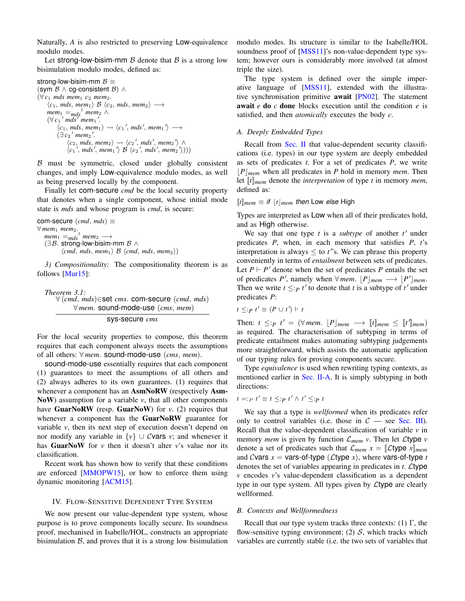Naturally, *A* is also restricted to preserving Low-equivalence modulo modes.

Let strong-low-bisim-mm  $\beta$  denote that  $\beta$  is a strong low bisimulation modulo modes, defined as:

```
strong-low-bisim-mm B \equiv(sym \beta \wedge cg-consistent \beta) \wedge(\forall c_1 mds mem<sub>1</sub> c_2 mem<sub>2</sub>.
      \langle c_1, mds, mem_1 \rangle B \langle c_2, mds, mem_2 \rangle →
       mem<sub>1</sub> =_{mds}<sup>l</sup> mem<sub>2</sub> ∧
       (\forall c_1' mds<sup>'</sup> mem<sub>1</sub>'.
             \langle c_1, mds, mem_1 \rangle \rightsquigarrow \langle c_1', mds', mem_1' \rangle \longrightarrow(\exists c_2 \text{ 'mem}_2'.\langle c_2, mds, mem_2 \rangle \rightsquigarrow \langle c_2', mds', mem_2' \rangle \wedge\langle c_1', mds', mem_1' \rangle \mathcal{B} \langle c_2', mds', mem_2' \rangle))
```
 $\beta$  must be symmetric, closed under globally consistent changes, and imply Low-equivalence modulo modes, as well as being preserved locally by the component.

Finally let com-secure *cmd* be the local security property that denotes when a single component, whose initial mode state is *mds* and whose program is *cmd*, is secure:

```
com-secure (cmd, mds) ≡
\forall mem<sub>1</sub> mem<sub>2</sub>.
    m<sup>l</sup> mem<sub>2</sub> \longrightarrow(\exists B. strong-low-bisim-mm B \wedge\langlecmd, mds, mem<sub>1</sub>\rangle B \langlecmd, mds, mem<sub>2</sub>\rangle)
```
*3) Compositionality:* The compositionality theorem is as follows [\[Mur15\]](#page-14-15):

<span id="page-6-1"></span>
$$
\begin{array}{c} \textit{Theorem 3.1:}\\ \forall \, (cmd, mds) \in \textit{set} \, \textit{cms.} \textit{com-secure} \, \, (cmd, mds) \\ \forall \, \textit{mem. sound-mode-use} \, \, (cms, \, \textit{mem}) \end{array}
$$

sys-secure *cms*

For the local security properties to compose, this theorem requires that each component always meets the assumptions of all others: ∀ *mem*. sound-mode-use (*cms*, *mem*).

sound-mode-use essentially requires that each component (1) guarantees to meet the assumptions of all others and (2) always adheres to its own guarantees. (1) requires that whenever a component has an AsmNoRW (respectively Asm-NoW) assumption for a variable *v*, that all other components have GuarNoRW (resp. GuarNoW) for *v*. (2) requires that whenever a component has the **GuarNoRW** guarantee for variable *v*, then its next step of execution doesn't depend on nor modify any variable in  $\{v\} \cup C$  vars *v*; and whenever it has **GuarNoW** for  $v$  then it doesn't alter  $v$ 's value nor its classification.

Recent work has shown how to verify that these conditions are enforced [\[MMOPW15\]](#page-14-17), or how to enforce them using dynamic monitoring [\[ACM15\]](#page-14-21).

## <span id="page-6-0"></span>IV. FLOW-SENSITIVE DEPENDENT TYPE SYSTEM

We now present our value-dependent type system, whose purpose is to prove components locally secure. Its soundness proof, mechanised in Isabelle/HOL, constructs an appropriate bisimulation  $\beta$ , and proves that it is a strong low bisimulation modulo modes. Its structure is similar to the Isabelle/HOL soundness proof of [\[MSS11\]](#page-14-14)'s non-value-dependent type system; however ours is considerably more involved (at almost triple the size).

The type system is defined over the simple imperative language of [\[MSS11\]](#page-14-14), extended with the illustrative synchronisation primitive await [\[PN02\]](#page-14-22). The statement await *e* do *c* done blocks execution until the condition *e* is satisfied, and then *atomically* executes the body *c*.

#### *A. Deeply Embedded Types*

Recall from [Sec. II](#page-1-0) that value-dependent security classifications (i.e. types) in our type system are deeply embedded as sets of predicates *t*. For a set of predicates *P*, we write  $\vert P \vert_{mem}$  when all predicates in *P* hold in memory *mem*. Then let  $[[t]]_{mem}$  denote the *interpretation* of type *t* in memory *mem*, defined as:

#### $[[t]]$ *mem*  $\equiv$  *if*  $|t|$ *mem then* Low *else* High

Types are interpreted as Low when all of their predicates hold, and as High otherwise.

We say that one type  $t$  is a *subtype* of another  $t'$  under predicates *P*, when, in each memory that satisfies *P*, *t*'s interpretation is always  $\leq$  to *t*'s. We can phrase this property conveniently in terms of *entailment* between sets of predicates. Let  $P \vdash P'$  denote when the set of predicates P entails the set of predicates *P'*, namely when  $\forall$  *mem*.  $\lfloor P \rfloor$ *mem*  $\longrightarrow \lfloor P' \rfloor$ *mem*. Then we write  $t \leq p \ t'$  to denote that *t* is a subtype of  $t'$  under predicates *P*:

$$
t \leq p t' \equiv (P \cup t') \vdash t
$$

Then:  $t \leq p$   $t' = (\forall \text{mem. } [P]_{\text{mem}} \rightarrow [t]_{\text{mem}} \leq [t']_{\text{mem}})$ as required. The characterisation of subtyping in terms of predicate entailment makes automating subtyping judgements more straightforward, which assists the automatic application of our typing rules for proving components secure.

Type *equivalence* is used when rewriting typing contexts, as mentioned earlier in [Sec. II-A.](#page-1-1) It is simply subtyping in both directions:

$$
t =:_{P} t' \equiv t \leq_{P} t' \wedge t' \leq_{P} t
$$

We say that a type is *wellformed* when its predicates refer only to control variables (i.e. those in  $C$  — see [Sec. III\)](#page-4-0). Recall that the value-dependent classification of variable *v* in memory *mem* is given by function  $\mathcal{L}_{mem}$  *v*. Then let  $\mathcal{L}$ type *v* denote a set of predicates such that  $\mathcal{L}_{mem}$   $x = \llbracket \mathcal{L}$ type  $x \rrbracket_{mem}$ and Cvars  $x = \text{vars-of-type } (\mathcal{L} \text{type } x)$ , where vars-of-type *t* denotes the set of variables appearing in predicates in *t*. Ltype *v* encodes *v*'s value-dependent classification as a dependent type in our type system. All types given by Ltype are clearly wellformed.

## *B. Contexts and Wellformedness*

Recall that our type system tracks three contexts: (1)  $\Gamma$ , the flow-sensitive typing environment; (2)  $S$ , which tracks which variables are currently stable (i.e. the two sets of variables that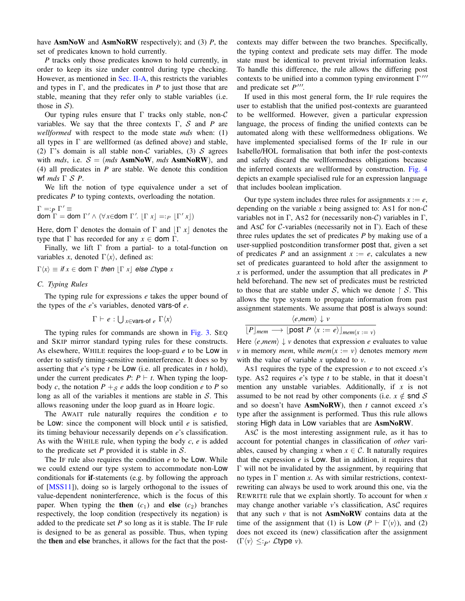have AsmNoW and AsmNoRW respectively); and (3) *P*, the set of predicates known to hold currently.

*P* tracks only those predicates known to hold currently, in order to keep its size under control during type checking. However, as mentioned in [Sec. II-A,](#page-1-1) this restricts the variables and types in  $\Gamma$ , and the predicates in *P* to just those that are stable, meaning that they refer only to stable variables (i.e. those in  $S$ ).

Our typing rules ensure that  $\Gamma$  tracks only stable, non- $\mathcal C$ variables. We say that the three contexts  $\Gamma$ , S and P are *wellformed* with respect to the mode state *mds* when: (1) all types in  $\Gamma$  are wellformed (as defined above) and stable, (2) Γ's domain is all stable non-C variables, (3) S agrees with *mds*, i.e.  $S = (mds \text{ Asm} \text{Now}, mds \text{ Asm} \text{NoRW})$ , and (4) all predicates in *P* are stable. We denote this condition wf *mds* Γ S *P*.

We lift the notion of type equivalence under a set of predicates *P* to typing contexts, overloading the notation.

$$
\Gamma =:_{P} \Gamma' \equiv
$$
  
dom  $\Gamma =$  dom  $\Gamma'$  ∧ (∀x∈dom  $\Gamma'$ . [ $\Gamma x$ ] =:\_{P} [ $\Gamma' x$ ])

Here, **dom**  $\Gamma$  denotes the domain of  $\Gamma$  and  $|\Gamma x|$  denotes the type that  $\Gamma$  has recorded for any  $x \in$  **dom**  $\Gamma$ .

Finally, we lift  $\Gamma$  from a partial- to a total-function on variables *x*, denoted  $\Gamma \langle x \rangle$ , defined as:

 $\Gamma\langle x \rangle \equiv$  *if*  $x \in$  dom  $\Gamma$  *then*  $|\Gamma x|$  *else* Ltype *x* 

# *C. Typing Rules*

The typing rule for expressions *e* takes the upper bound of the types of the *e*'s variables, denoted vars-of *e*.

$$
\Gamma \vdash e : \bigcup_{x \in \text{vars-of } e} \Gamma \langle x \rangle
$$

The typing rules for commands are shown in [Fig. 3.](#page-8-0) SEQ and SKIP mirror standard typing rules for these constructs. As elsewhere, WHILE requires the loop-guard *e* to be Low in order to satisfy timing-sensitive noninterference. It does so by asserting that *e*'s type *t* be Low (i.e. all predicates in *t* hold), under the current predicates  $P: P \vdash t$ . When typing the loopbody *c*, the notation  $P +_{\mathcal{S}} e$  adds the loop condition *e* to *P* so long as all of the variables it mentions are stable in  $S$ . This allows reasoning under the loop guard as in Hoare logic.

The AWAIT rule naturally requires the condition *e* to be Low: since the component will block until *e* is satisfied, its timing behaviour necessarily depends on *e*'s classification. As with the WHILE rule, when typing the body *c*, *e* is added to the predicate set  $P$  provided it is stable in  $S$ .

The IF rule also requires the condition *e* to be Low. While we could extend our type system to accommodate non-Low conditionals for if-statements (e.g. by following the approach of [\[MSS11\]](#page-14-14)), doing so is largely orthogonal to the issues of value-dependent noninterference, which is the focus of this paper. When typing the **then**  $(c_1)$  and **else**  $(c_2)$  branches respectively, the loop condition (respectively its negation) is added to the predicate set *P* so long as it is stable. The IF rule is designed to be as general as possible. Thus, when typing the then and else branches, it allows for the fact that the postcontexts may differ between the two branches. Specifically, the typing context and predicate sets may differ. The mode state must be identical to prevent trivial information leaks. To handle this difference, the rule allows the differing post contexts to be unified into a common typing environment  $\Gamma'''$ and predicate set  $P^{\prime\prime\prime}$ .

If used in this most general form, the IF rule requires the user to establish that the unified post-contexts are guaranteed to be wellformed. However, given a particular expression language, the process of finding the unified contexts can be automated along with these wellformedness obligations. We have implemented specialised forms of the IF rule in our Isabelle/HOL formalisation that both infer the post-contexts and safely discard the wellformedness obligations because the inferred contexts are wellformed by construction. [Fig. 4](#page-8-1) depicts an example specialised rule for an expression language that includes boolean implication.

Our type system includes three rules for assignments  $x := e$ , depending on the variable  $x$  being assigned to: As1 for non- $C$ variables not in Γ, As2 for (necessarily non-C) variables in Γ, and AsC for C-variables (necessarily not in  $\Gamma$ ). Each of these three rules updates the set of predicates *P* by making use of a user-supplied postcondition transformer post that, given a set of predicates *P* and an assignment  $x := e$ , calculates a new set of predicates guaranteed to hold after the assignment to *x* is performed, under the assumption that all predicates in *P* held beforehand. The new set of predicates must be restricted to those that are stable under S, which we denote  $\upharpoonright$  S. This allows the type system to propagate information from past assignment statements. We assume that post is always sound:

$$
\frac{\langle e, mem \rangle \downarrow v}{[P]_{mem} \longrightarrow [post P \langle x := e \rangle]_{mem(x := v)}}
$$

Here  $\langle e, mem \rangle \downarrow v$  denotes that expression *e* evaluates to value *v* in memory *mem*, while *mem* $(x := v)$  denotes memory *mem* with the value of variable *x* updated to *v*.

As1 requires the type of the expression  $e$  to not exceed  $x$ 's type. AS2 requires *e*'s type *t* to be stable, in that it doesn't mention any unstable variables. Additionally, if *x* is not assumed to be not read by other components (i.e.  $x \notin \text{snd } S$ and so doesn't have AsmNoRW), then *t* cannot exceed *x*'s type after the assignment is performed. Thus this rule allows storing High data in Low variables that are AsmNoRW.

AsC is the most interesting assignment rule, as it has to account for potential changes in classification of *other* variables, caused by changing *x* when  $x \in C$ . It naturally requires that the expression *e* is Low. But in addition, it requires that Γ will not be invalidated by the assignment, by requiring that no types in Γ mention *x*. As with similar restrictions, contextrewriting can always be used to work around this one, via the REWRITE rule that we explain shortly. To account for when *x* may change another variable *v*'s classification, ASC requires that any such  $\nu$  that is not **AsmNoRW** contains data at the time of the assignment that (1) is Low  $(P \vdash \Gamma \langle v \rangle)$ , and (2) does not exceed its (new) classification after the assignment  $(\Gamma \langle v \rangle \leq p \cdot \mathcal{L}$ type *v*).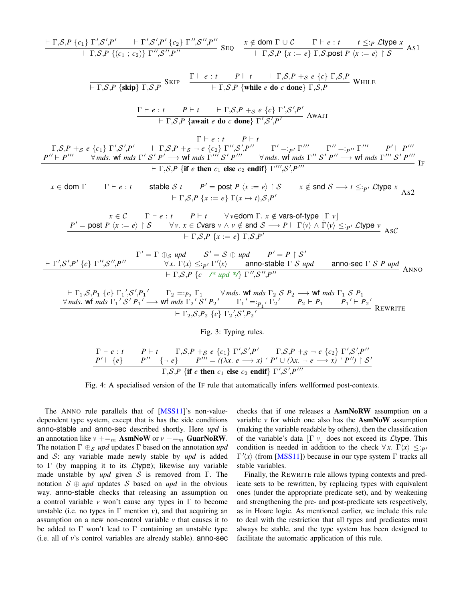<span id="page-8-0"></span>
$$
\frac{\Gamma_{\mathsf{P},\mathsf{S},\mathsf{P}}\left\{c_{1}\right\}\Gamma_{\mathsf{S}',\mathsf{P}'}\left\{\Gamma_{\mathsf{S},\mathsf{P}}\right\}}{\Gamma_{\mathsf{S},\mathsf{S},\mathsf{P}}\left\{\{c_{1};c_{2}\}\right\}\Gamma_{\mathsf{S}',\mathsf{S}'}\left\{\mathsf{P}'\right\}}\text{SED}\left\{\begin{array}{c}\frac{\mathsf{g}}{\Gamma_{\mathsf{S},\mathsf{P}}\mathsf{g}}\left\{\Gamma_{\mathsf{S},\mathsf{P}}\left\{\Gamma_{\mathsf{S},\mathsf{P}}\right\}\right\}\right\}\right\}\mathsf{SED}}{\Gamma_{\mathsf{S},\mathsf{P}}\left\{\mathsf{x}:c\right\}\right\}\mathsf{SAD}\left\{\mathsf{P}'\right\}\mathsf{SAD}\left\{\mathsf{P}'\right\}\mathsf{SAD}\left\{\mathsf{P}'\right\}\mathsf{SAD}\right\}\mathsf{SAD}\left\{\begin{array}{c}\frac{\mathsf{g}}{\Gamma_{\mathsf{S},\mathsf{P}}\mathsf{g}}\left\{\Gamma_{\mathsf{S},\mathsf{P}}\left\{\Gamma_{\mathsf{S},\mathsf{P}}\right\}\right\}\right\}\mathsf{SAD}\left\{\mathsf{P}'\right\}\mathsf{SAD}\right\}\mathsf{SAD}\right\}\mathsf{SAD}\left\{\begin{array}{c}\frac{\mathsf{g}}{\Gamma_{\mathsf{S},\mathsf{P}}\mathsf{g}}\left\{\Gamma_{\mathsf{S},\mathsf{P}}\left\{\Gamma_{\mathsf{S},\mathsf{P}}\right\}\right\}\mathsf{SAD}\left\{\mathsf{P}'\right\}\right\}\mathsf{SAD}\left\{\mathsf{P}'\right\}\mathsf{SAD}\left\{\mathsf{P}'\right\}\mathsf{SAD}\right\}\mathsf{SAD}\right\}\mathsf{SAD}\left\{\begin{array}{c}\frac{\mathsf{g}}{\Gamma_{\mathsf{S},\mathsf{P}}\mathsf{g}}\left\{\Gamma_{\mathsf{S},\mathsf{P}}\right\}\mathsf{g}}\right\}\mathsf{SAD}\left\{\mathsf{P}'\right\}\mathsf{SAD}\left\{\mathsf{P}'\right\}\mathsf{SAD}\left\{\mathsf{P}'\right\}\mathsf{SAD}\left\{\mathsf{P}'\right\
$$

Fig. 3: Typing rules.

<span id="page-8-1"></span>
$$
\frac{\Gamma \vdash e : t \qquad P \vdash t \qquad \Gamma, \mathcal{S}, P \dashv_{\mathcal{S}} e \{c_1\} \Gamma', \mathcal{S}', P' \qquad \Gamma, \mathcal{S}, P \dashv_{\mathcal{S}} \neg e \{c_2\} \Gamma', \mathcal{S}', P''}{P' \vdash \{e\} \qquad P'' \vdash \{\neg e\} \qquad P''' = ((\lambda x. e \longrightarrow x) \cdot P' \cup (\lambda x. \neg e \longrightarrow x) \cdot P'') \upharpoonright \mathcal{S}'}
$$
\n
$$
\Gamma, \mathcal{S}, P \{\text{if } e \text{ then } c_1 \text{ else } c_2 \text{ endif} \} \Gamma', \mathcal{S}', P'''
$$

Fig. 4: A specialised version of the IF rule that automatically infers wellformed post-contexts.

The ANNO rule parallels that of [\[MSS11\]](#page-14-14)'s non-valuedependent type system, except that is has the side conditions anno-stable and anno-sec described shortly. Here *upd* is an annotation like  $v$  +=<sub>m</sub> AsmNoW or  $v$  −=<sub>m</sub> GuarNoRW. The notation  $\Gamma \oplus_{\mathcal{S}} \text{upd}$  updates  $\Gamma$  based on the annotation *upd* and S: any variable made newly stable by *upd* is added to  $\Gamma$  (by mapping it to its *L*type); likewise any variable made unstable by *upd* given S is removed from Γ. The notation  $S \oplus \text{upd}$  updates S based on *upd* in the obvious way. anno-stable checks that releasing an assumption on a control variable *v* won't cause any types in Γ to become unstable (i.e. no types in  $\Gamma$  mention *v*), and that acquiring an assumption on a new non-control variable *v* that causes it to be added to  $\Gamma$  won't lead to  $\Gamma$  containing an unstable type (i.e. all of *v*'s control variables are already stable). anno-sec checks that if one releases a AsmNoRW assumption on a variable  $\nu$  for which one also has the  $\text{AsmNow}$  assumption (making the variable readable by others), then the classification of the variable's data  $|\Gamma v|$  does not exceed its Ltype. This condition is needed in addition to the check  $\forall x$ .  $\Gamma \langle x \rangle \leq p$  $\Gamma'(x)$  (from [\[MSS11\]](#page-14-14)) because in our type system  $\Gamma$  tracks all stable variables.

Finally, the REWRITE rule allows typing contexts and predicate sets to be rewritten, by replacing types with equivalent ones (under the appropriate predicate set), and by weakening and strengthening the pre- and post-predicate sets respectively, as in Hoare logic. As mentioned earlier, we include this rule to deal with the restriction that all types and predicates must always be stable, and the type system has been designed to facilitate the automatic application of this rule.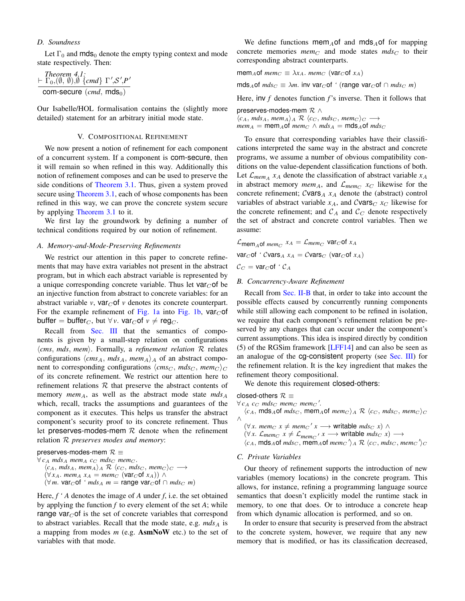# *D. Soundness*

Let  $\Gamma_0$  and mds<sub>0</sub> denote the empty typing context and mode state respectively. Then:

$$
\frac{\text{Theorem 4.1:}}{\text{Com-secure (cmd, mds_0)}} \\
$$

Our Isabelle/HOL formalisation contains the (slightly more detailed) statement for an arbitrary initial mode state.

# V. COMPOSITIONAL REFINEMENT

<span id="page-9-0"></span>We now present a notion of refinement for each component of a concurrent system. If a component is com-secure, then it will remain so when refined in this way. Additionally this notion of refinement composes and can be used to preserve the side conditions of [Theorem 3.1.](#page-6-1) Thus, given a system proved secure using [Theorem 3.1,](#page-6-1) each of whose components has been refined in this way, we can prove the concrete system secure by applying [Theorem 3.1](#page-6-1) to it.

We first lay the groundwork by defining a number of technical conditions required by our notion of refinement.

#### *A. Memory-and-Mode-Preserving Refinements*

We restrict our attention in this paper to concrete refinements that may have extra variables not present in the abstract program, but in which each abstract variable is represented by a unique corresponding concrete variable. Thus let  $\text{var}_{\mathcal{C}}$  of be an injective function from abstract to concrete variables: for an abstract variable *v*,  $\text{var}_{C}$  of *v* denotes its concrete counterpart. For the example refinement of [Fig. 1a](#page-2-0) into [Fig. 1b,](#page-2-0)  $\text{var}_{C}$  of buffer = buffer<sub>C</sub>, but  $\forall v$ . var<sub>C</sub> of  $v \neq \text{reg}_C$ .

Recall from [Sec. III](#page-4-0) that the semantics of components is given by a small-step relation on configurations h*cms*, *mds*, *mem*i. Formally, a *refinement relation* R relates configurations  $\langle cms_A, mds_A, mem_A \rangle_A$  of an abstract component to corresponding configurations  $\langle cms_C, mds_C, mem_C \rangle_C$ of its concrete refinement. We restrict our attention here to refinement relations  $R$  that preserve the abstract contents of memory  $mem_A$ , as well as the abstract mode state  $mds_A$ which, recall, tracks the assumptions and guarantees of the component as it executes. This helps us transfer the abstract component's security proof to its concrete refinement. Thus let preserves-modes-mem  $R$  denote when the refinement relation R *preserves modes and memory*:

preserves-modes-mem  $\mathcal{R} \equiv$  $\forall$   $c_A$  *mds*<sub>A</sub> *mem<sub>A</sub>*  $c_C$  *mds<sub>C</sub> mem<sub>C</sub>*.  $\langle c_A, mds_A, mem_A \rangle_A \mathcal{R} \langle c_C, mds_C, mem_C \rangle_C \longrightarrow$  $(\forall x_A. \text{ mem}_A x_A = \text{mem}_C (\text{var}_O(f x_A)) \wedge$  $(\forall m. \text{var}_C \text{of } 'm ds_A m = \text{range } \text{var}_C \text{of } \cap m ds_C m)$ 

Here, *f ' A* denotes the image of *A* under *f*, i.e. the set obtained by applying the function *f* to every element of the set *A*; while range var $C$  of is the set of concrete variables that correspond to abstract variables. Recall that the mode state, e.g.  $m ds_A$  is a mapping from modes *m* (e.g. AsmNoW etc.) to the set of variables with that mode.

We define functions mem<sub>A</sub>of and mds<sub>A</sub>of for mapping concrete memories  $mem<sub>C</sub>$  and mode states  $mds<sub>C</sub>$  to their corresponding abstract counterparts.

 $\text{mem}_A$ of  $\text{mem}_C \equiv \lambda x_A$ .  $\text{mem}_C$  (var<sub>C</sub> of  $x_A$ )

 $mds_A$ of  $mds_C \equiv \lambda m$ . inv var<sub>C</sub> of ' (range var<sub>C</sub> of  $\cap$   $mds_C$  *m*)

Here, inv *f* denotes function *f*'s inverse. Then it follows that

preserves-modes-mem  $\mathcal{R} \wedge$  $\langle c_A, mds_A, mem_A \rangle_A \mathcal{R} \langle c_C, mds_C, mem_C \rangle_C \longrightarrow$  $mem_A = mem_A$ of  $mem_C \wedge mds_A = mds_A$ of  $mds_C$ 

To ensure that corresponding variables have their classifications interpreted the same way in the abstract and concrete programs, we assume a number of obvious compatibility conditions on the value-dependent classification functions of both. Let  $\mathcal{L}_{\text{mem}_A}$  *x*<sub>A</sub> denote the classification of abstract variable *x*<sub>A</sub> in abstract memory *mem<sub>A</sub>*, and  $\mathcal{L}_{mem_C}$   $x_C$  likewise for the concrete refinement;  $C$ vars<sub>A</sub>  $x_A$  denote the (abstract) control variables of abstract variable  $x_A$ , and Cvars<sub>C</sub>  $x_C$  likewise for the concrete refinement; and  $\mathcal{C}_A$  and  $\mathcal{C}_C$  denote respectively the set of abstract and concrete control variables. Then we assume:

$$
\mathcal{L}_{\text{mem}_A \text{of } \text{mem}_C} x_A = \mathcal{L}_{\text{mem}_C} \text{var}_C \text{of } x_A
$$
  

$$
\text{var}_C \text{of } 'C \text{vars}_A x_A = C \text{vars}_C \text{ (var}_C \text{of } x_A)
$$
  

$$
\mathcal{C}_C = \text{var}_C \text{of } 'C_A
$$

#### *B. Concurrency-Aware Refinement*

Recall from [Sec. II-B](#page-2-1) that, in order to take into account the possible effects caused by concurrently running components while still allowing each component to be refined in isolation, we require that each component's refinement relation be preserved by any changes that can occur under the component's current assumptions. This idea is inspired directly by condition (5) of the RGSim framework [\[LFF14\]](#page-14-20) and can also be seen as an analogue of the cg-consistent property (see [Sec. III\)](#page-4-0) for the refinement relation. It is the key ingredient that makes the refinement theory compositional.

We denote this requirement closed-others:

closed-others  $\mathcal{R} \equiv$ 

 $\forall c_A \ c_C \ mds_C \ mem_C \ mem_C'.$ 

 $\langle c_A, \text{mds}_A \text{ of } m \text{d} s_C, \text{mem}_A \text{ of } m \text{e} m_C \rangle_A \mathcal{R} \langle c_C, \text{mds}_C, \text{mem}_C \rangle_C$ ∧  $(\forall x. \text{ memo } x \neq \text{ memo'}' x \longrightarrow \text{writable } \text{mds}_C x) \land$ 

- $(\forall x. \; \mathcal{L}_{mem_C} \; x \neq \mathcal{L}_{mem_C'} \; x \longrightarrow \text{writeable } mds_C \; x) \longrightarrow$
- $\langle c_A, \text{mds}_A \text{ of } m \text{d} s_C, \text{mem}_A \text{ of } m \text{e} m_C \rangle_A \otimes \langle c_C, \text{mds}_C, \text{mem}_C \rangle_C$

#### *C. Private Variables*

Our theory of refinement supports the introduction of new variables (memory locations) in the concrete program. This allows, for instance, refining a programming language source semantics that doesn't explicitly model the runtime stack in memory, to one that does. Or to introduce a concrete heap from which dynamic allocation is performed, and so on.

In order to ensure that security is preserved from the abstract to the concrete system, however, we require that any new memory that is modified, or has its classification decreased,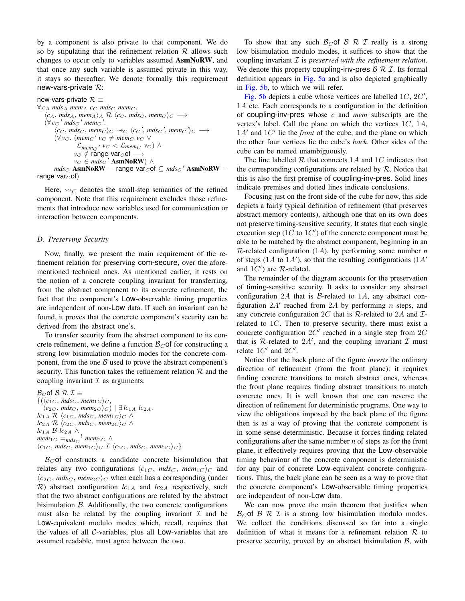by a component is also private to that component. We do so by stipulating that the refinement relation  $R$  allows such changes to occur only to variables assumed AsmNoRW, and that once any such variable is assumed private in this way, it stays so thereafter. We denote formally this requirement new-vars-private  $\mathcal{R}$ :

```
new-vars-private \mathcal{R} \equiv\forall c_A mds<sub>A</sub> mem<sub>A</sub> c_C mds<sub>C</sub> mem<sub>C</sub>.
    \langle c_A, mds_A, mem_A \rangle_A \mathcal{R} \langle c_C, mds_C, mem_C \rangle_C \longrightarrow(\forall cc' mdsc' memc'.\langle c_C, m \, ds_C, \, mem_C \rangle_C \rightsquigarrow_C \langle c_C', m \, ds_C', \, mem_C \, \rangle_C \longrightarrow(\forall v_C. (mem<sub>C</sub>' v_C \neq mem<sub>C</sub> v_C ∨
                       \mathcal{L}_{mem_C}, v_C < \mathcal{L}_{mem_C} v_C) \wedgev_C \notin \text{range var}_C of \longrightarrowv_C ∈ mds_C' AsmNoRW) ∧
          mds_C AsmNoRW – range var_Cof \subseteq mds_C' AsmNoRW –
range var_{C}of)
```
Here,  $\rightsquigarrow_C$  denotes the small-step semantics of the refined component. Note that this requirement excludes those refinements that introduce new variables used for communication or interaction between components.

## *D. Preserving Security*

Now, finally, we present the main requirement of the refinement relation for preserving com-secure, over the aforementioned technical ones. As mentioned earlier, it rests on the notion of a concrete coupling invariant for transferring, from the abstract component to its concrete refinement, the fact that the component's Low-observable timing properties are independent of non-Low data. If such an invariant can be found, it proves that the concrete component's security can be derived from the abstract one's.

To transfer security from the abstract component to its concrete refinement, we define a function  $\mathcal{B}_{C}$  of for constructing a strong low bisimulation modulo modes for the concrete component, from the one  $\beta$  used to prove the abstract component's security. This function takes the refinement relation  $R$  and the coupling invariant  $\mathcal I$  as arguments.

 $B_C$  of  $B \mathcal{R} \mathcal{I} \equiv$  $\{(\langle c_{1C}, mds_C, mem_{1C}\rangle_C,$  $\langle c_{2C}$ , *mdsc*, *mem*<sub>2C</sub> $\rangle$ *c* $)$  |  $\exists$  *lc*<sub>1A</sub> *lc*<sub>2A</sub>.  $lc_{1A}$  **R**  $\langle c_{1C}$ , *mds<sub>C</sub>*, *mem*<sub>1*C*</sub>  $\rangle$ *C* ∧  $$ *lc*1<sup>A</sup> B *lc*2<sup>A</sup> ∧  $m$ em<sub>1</sub> $_C$  =<sub>mds</sub><sub>C</sub><sup>l</sup> mem<sub>2</sub> $_C$   $\wedge$  $\langle c_{1C}, \, mds_C, \, \overline{mem}_{1C} \rangle_C$   $\mathcal{I}$   $\langle c_{2C}, \, mds_C, \, \overline{mem}_{2C} \rangle_C$ 

 $B<sub>C</sub>$  of constructs a candidate concrete bisimulation that relates any two configurations  $\langle c_{1C}$ ,  $mds_{C}$ ,  $mem_{1C} \rangle_C$  and  $\langle c_{2C}$ , *mds<sub>C</sub>*, *mem*<sub>2C</sub> $\rangle$ <sub>C</sub> when each has a corresponding (under  $R$ ) abstract configuration  $lc_{1A}$  and  $lc_{2A}$  respectively, such that the two abstract configurations are related by the abstract bisimulation  $\beta$ . Additionally, the two concrete configurations must also be related by the coupling invariant  $\mathcal I$  and be Low-equivalent modulo modes which, recall, requires that the values of all  $C$ -variables, plus all  $Low$ -variables that are assumed readable, must agree between the two.

To show that any such  $\mathcal{B}_C$  of  $\mathcal{B}$   $\mathcal{R}$   $\mathcal{I}$  really is a strong low bisimulation modulo modes, it suffices to show that the coupling invariant I is *preserved with the refinement relation*. We denote this property coupling-inv-pres  $\mathcal{B} \mathcal{R} \mathcal{I}$ . Its formal definition appears in [Fig. 5a](#page-11-0) and is also depicted graphically in [Fig. 5b,](#page-11-0) to which we will refer.

[Fig. 5b](#page-11-0) depicts a cube whose vertices are labelled  $1C$ ,  $2C'$ , 1A etc. Each corresponds to a configuration in the definition of coupling-inv-pres whose *c* and *mem* subscripts are the vertex's label. Call the plane on which the vertices  $1C$ ,  $1A$ ,  $1A'$  and  $1C'$  lie the *front* of the cube, and the plane on which the other four vertices lie the cube's *back*. Other sides of the cube can be named unambiguously.

The line labelled  $R$  that connects 1A and 1C indicates that the corresponding configurations are related by  $R$ . Notice that this is also the first premise of coupling-inv-pres. Solid lines indicate premises and dotted lines indicate conclusions.

Focusing just on the front side of the cube for now, this side depicts a fairly typical definition of refinement (that preserves abstract memory contents), although one that on its own does not preserve timing-sensitive security. It states that each single execution step  $(1C$  to  $1C')$  of the concrete component must be able to be matched by the abstract component, beginning in an  $R$ -related configuration (1A), by performing some number  $n$ of steps (1A to 1A'), so that the resulting configurations (1A' and  $1C'$ ) are  $R$ -related.

The remainder of the diagram accounts for the preservation of timing-sensitive security. It asks to consider any abstract configuration 2A that is  $\beta$ -related to 1A, any abstract configuration  $2A'$  reached from  $2A$  by performing n steps, and any concrete configuration 2C that is R-related to 2A and  $\mathcal{I}$ related to  $1C$ . Then to preserve security, there must exist a concrete configuration  $2C'$  reached in a single step from  $2C$ that is R-related to  $2A'$ , and the coupling invariant  $\mathcal I$  must relate  $1C'$  and  $2C'$ .

Notice that the back plane of the figure *inverts* the ordinary direction of refinement (from the front plane): it requires finding concrete transitions to match abstract ones, whereas the front plane requires finding abstract transitions to match concrete ones. It is well known that one can reverse the direction of refinement for deterministic programs. One way to view the obligations imposed by the back plane of the figure then is as a way of proving that the concrete component is in some sense deterministic. Because it forces finding related configurations after the same number *n* of steps as for the front plane, it effectively requires proving that the Low-observable timing behaviour of the concrete component is deterministic for any pair of concrete Low-equivalent concrete configurations. Thus, the back plane can be seen as a way to prove that the concrete component's Low-observable timing properties are independent of non-Low data.

We can now prove the main theorem that justifies when  $\mathcal{B}_C$  of  $\mathcal{B}$   $\mathcal{R}$   $\mathcal{I}$  is a strong low bisimulation modulo modes. We collect the conditions discussed so far into a single definition of what it means for a refinement relation  $R$  to preserve security, proved by an abstract bisimulation  $\beta$ , with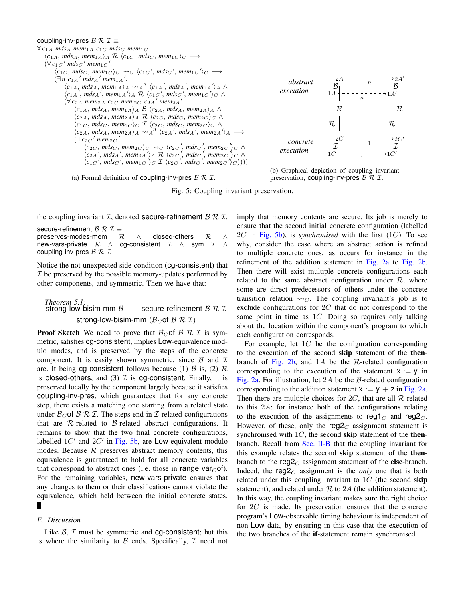## <span id="page-11-0"></span>coupling-inv-pres  $\mathcal{B} \mathcal{R} \mathcal{I} \equiv$

```
\forall c_{1A} mdsA mem<sub>1</sub>A c_{1C} mds<sub>C</sub> mem<sub>1C</sub>.
      \langle c_{1A}, d_{SA}, \textit{mem}_{1A} \rangle_A \mathcal{R} \langle c_{1C}, \textit{mds}_C, \textit{mem}_{1C} \rangle_C \longrightarrow(\forall c_1 c' mdsc' mem<sub>1</sub>c'.
               \langle c_{1C}, \, mds_C, \, mem_{1C} \rangle_C \rightsquigarrow_C \langle c_{1C}, \, mds_C, \, mem_{1C} \, \rangle_C \longrightarrow(\exists n \ c_{1A}^{\prime} m ds_{A}^{\prime} m e_{1A}^{\prime}).
                       \langle c_{1A}, mds_A, mem_{1A} \rangle_A \rightsquigarrow_A^n \langle c_{1A}', mds_A', mem_{1A} \rangle_A \wedge\langle c_{1A} \rangle, mds<sub>A</sub>', mem<sub>1A</sub>'\rangle<sub>A</sub> R \langle c_{1C} \rangle, mds<sub>C</sub>', mem<sub>1C</sub>'\rangle<sub>C</sub> \wedge(\forall c_{2A} mem<sub>2</sub>A c_{2C} mem<sub>2C</sub> c_{2A}<sup>'</sup> mem<sub>2A</sub>'.
                               \langle c_{1A}, d_{A}, d_{A}, \text{mem}_{1A} \rangle_A \mathcal{B} \langle c_{2A}, d_{A}, \text{mem}_{2A} \rangle_A \wedge\langle c_{2A}, dS_A, \text{mem}_{2A} \rangle_A \mathcal{R} \langle c_{2C}, \text{mds}_C, \text{mem}_{2C} \rangle_C \wedge\langle c_{1C}, \, mds_C, \, mem_{1C} \rangle_C \mathcal{I} \langle c_{2C}, \, mds_C, \, mem_{2C} \rangle_C \wedge\langle c_{2A}, mds_A, mem_{2A} \rangle_A \rightsquigarrow_A^n \langle c_{2A}', mds_A', mem_{2A} \rangle_A \longrightarrow\left(\exists c_{2C}' mem<sub>2C</sub>'.
                                        \langle c_{2C}, mds_C, mem_{2C} \rangle_C \rightsquigarrow_C \langle c_{2C}, mds_C, mem_{2C} \rangle_C \wedge\langle c_{2A} \rangle, mds<sub>A</sub>', mem<sub>2A</sub>'\rangle<sub>A</sub> \mathcal{R} \langle c_{2C} \rangle, mds<sub>C</sub>', mem<sub>2C</sub>'\rangle<sub>C</sub> \wedge\langle c_{1C} \rangle<sup>'</sup>, mds<sub>C</sub>', mem<sub>1</sub>C'<sub>1</sub>)<sub>C</sub> I \langle c_{2C} \rangle<sup>'</sup>, mds<sub>C</sub>', mem<sub>2C'1</sub><sup>'</sup><sub>C</sub>))))
```
(a) Formal definition of coupling-inv-pres  $\beta \mathcal{R} \mathcal{I}$ .



(b) Graphical depiction of coupling invariant preservation, coupling-inv-pres  $\beta \mathcal{R} \mathcal{I}$ .

Fig. 5: Coupling invariant preservation.

the coupling invariant  $I$ , denoted secure-refinement  $B \mathcal{R} I$ .

secure-refinement  $\mathcal{B} \mathcal{R} \mathcal{I} \equiv$ preserves-modes-mem  $\mathcal{R} \wedge$  closed-others  $\mathcal{R} \wedge$ new-vars-private  $\mathcal{R} \wedge$  cg-consistent  $\mathcal{I} \wedge$  sym  $\mathcal{I} \wedge$ coupling-inv-pres  $\mathcal{B} \mathcal{R} \mathcal{I}$ 

Notice the not-unexpected side-condition (cg-consistent) that  $I$  be preserved by the possible memory-updates performed by other components, and symmetric. Then we have that:

<span id="page-11-1"></span>

| <i>Theorem 5.1:</i><br>strong-low-bisim-mm $\beta$ | secure-refinement $\mathcal{B} \mathcal{R} \mathcal{I}$      |
|----------------------------------------------------|--------------------------------------------------------------|
|                                                    | strong-low-bisim-mm ( $B_C$ of $B \mathcal{R} \mathcal{I}$ ) |

**Proof Sketch** We need to prove that  $\mathcal{B}_C$  of  $\mathcal{B}$   $\mathcal{R}$   $\mathcal{I}$  is symmetric, satisfies cg-consistent, implies Low-equivalence modulo modes, and is preserved by the steps of the concrete component. It is easily shown symmetric, since  $\beta$  and  $\mathcal I$ are. It being cg-consistent follows because (1)  $\beta$  is, (2)  $\beta$ is closed-others, and (3)  $\mathcal I$  is cg-consistent. Finally, it is preserved locally by the component largely because it satisfies coupling-inv-pres, which guarantees that for any concrete step, there exists a matching one starting from a related state under  $\mathcal{B}_{C}$  of  $\mathcal{B} \mathcal{R} \mathcal{I}$ . The steps end in *I*-related configurations that are  $R$ -related to  $B$ -related abstract configurations. It remains to show that the two final concrete configurations, labelled  $1C'$  and  $2C'$  in [Fig. 5b,](#page-11-0) are Low-equivalent modulo modes. Because  $R$  preserves abstract memory contents, this equivalence is guaranteed to hold for all concrete variables that correspond to abstract ones (i.e. those in range var $_C$ of). For the remaining variables, new-vars-private ensures that any changes to them or their classifications cannot violate the equivalence, which held between the initial concrete states. П

## *E. Discussion*

Like  $\beta$ ,  $\mathcal I$  must be symmetric and cg-consistent; but this is where the similarity to  $\beta$  ends. Specifically,  $\mathcal I$  need not imply that memory contents are secure. Its job is merely to ensure that the second initial concrete configuration (labelled 2C in [Fig. 5b\)](#page-11-0), is *synchronised* with the first (1C). To see why, consider the case where an abstract action is refined to multiple concrete ones, as occurs for instance in the refinement of the addition statement in [Fig. 2a](#page-4-1) to [Fig. 2b.](#page-4-1) Then there will exist multiple concrete configurations each related to the same abstract configuration under  $\mathcal{R}$ , where some are direct predecessors of others under the concrete transition relation  $\rightsquigarrow_C$ . The coupling invariant's job is to exclude configurations for  $2C$  that do not correspond to the same point in time as  $1C$ . Doing so requires only talking about the location within the component's program to which each configuration corresponds.

For example, let  $1C$  be the configuration corresponding to the execution of the second skip statement of the then-branch of [Fig. 2b,](#page-4-1) and 1A be the  $\mathcal{R}$ -related configuration corresponding to the execution of the statement  $x := y$  in [Fig. 2a.](#page-4-1) For illustration, let 2A be the B-related configuration corresponding to the addition statement  $x := y + z$  in [Fig. 2a.](#page-4-1) Then there are multiple choices for  $2C$ , that are all R-related to this 2A: for instance both of the configurations relating to the execution of the assignments to reg1 $<sub>C</sub>$  and reg2 $<sub>C</sub>$ .</sub></sub> However, of these, only the  $reg2_C$  assignment statement is synchronised with  $1C$ , the second skip statement of the thenbranch. Recall from [Sec. II-B](#page-2-1) that the coupling invariant for this example relates the second skip statement of the thenbranch to the reg $2<sub>C</sub>$  assignment statement of the else-branch. Indeed, the  $reg2<sub>C</sub>$  assignment is the *only* one that is both related under this coupling invariant to  $1C$  (the second skip statement), and related under  $R$  to  $2A$  (the addition statement). In this way, the coupling invariant makes sure the right choice for  $2C$  is made. Its preservation ensures that the concrete program's Low-observable timing behaviour is independent of non-Low data, by ensuring in this case that the execution of the two branches of the if-statement remain synchronised.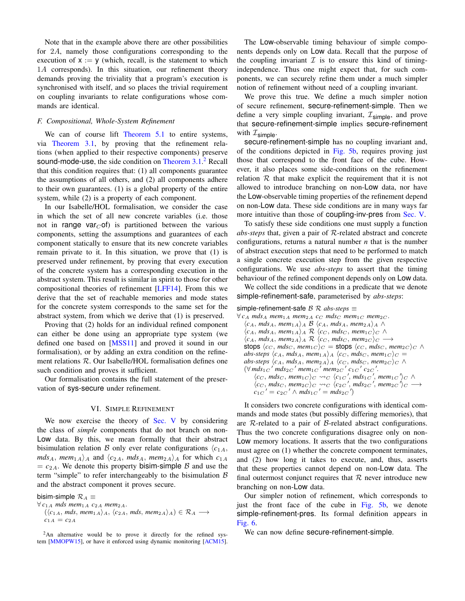Note that in the example above there are other possibilities for 2A, namely those configurations corresponding to the execution of  $x := y$  (which, recall, is the statement to which 1A corresponds). In this situation, our refinement theory demands proving the triviality that a program's execution is synchronised with itself, and so places the trivial requirement on coupling invariants to relate configurations whose commands are identical.

# *F. Compositional, Whole-System Refinement*

We can of course lift [Theorem 5.1](#page-11-1) to entire systems, via [Theorem 3.1,](#page-6-1) by proving that the refinement relations (when applied to their respective components) preserve sound-mode-use, the side condition on [Theorem 3.1.](#page-6-1)<sup>[2](#page-12-1)</sup> Recall that this condition requires that: (1) all components guarantee the assumptions of all others, and (2) all components adhere to their own guarantees. (1) is a global property of the entire system, while (2) is a property of each component.

In our Isabelle/HOL formalisation, we consider the case in which the set of all new concrete variables (i.e. those not in range var $C$  of) is partitioned between the various components, setting the assumptions and guarantees of each component statically to ensure that its new concrete variables remain private to it. In this situation, we prove that (1) is preserved under refinement, by proving that every execution of the concrete system has a corresponding execution in the abstract system. This result is similar in spirit to those for other compositional theories of refinement [\[LFF14\]](#page-14-20). From this we derive that the set of reachable memories and mode states for the concrete system corresponds to the same set for the abstract system, from which we derive that (1) is preserved.

Proving that (2) holds for an individual refined component can either be done using an appropriate type system (we defined one based on [\[MSS11\]](#page-14-14) and proved it sound in our formalisation), or by adding an extra condition on the refinement relations R. Our Isabelle/HOL formalisation defines one such condition and proves it sufficient.

Our formalisation contains the full statement of the preservation of sys-secure under refinement.

## VI. SIMPLE REFINEMENT

<span id="page-12-0"></span>We now exercise the theory of [Sec. V](#page-9-0) by considering the class of *simple* components that do not branch on non-Low data. By this, we mean formally that their abstract bisimulation relation B only ever relate configurations  $\langle c_{1A},$  $mds_A$ ,  $mem_{1A}$  and  $\langle c_{2A}$ ,  $mds_A$ ,  $mem_{2A}$  for which  $c_{1A}$  $= c_{2A}$ . We denote this property bisim-simple B and use the term "simple" to refer interchangeably to the bisimulation  $B$ and the abstract component it proves secure.

bisim-simple  $\mathcal{R}_A \equiv$ 

 $\forall c_{1A}$  *mds* mem<sub>1A</sub>  $c_{2A}$  mem<sub>2A</sub>.

 $(\langle c_{1A}, mds, mem_{1A}\rangle_A, \langle c_{2A}, mds, mem_{2A}\rangle_A) \in \mathcal{R}_A \longrightarrow$  $c_{1A} = c_{2A}$ 

<span id="page-12-1"></span><sup>2</sup>An alternative would be to prove it directly for the refined system [\[MMOPW15\]](#page-14-17), or have it enforced using dynamic monitoring [\[ACM15\]](#page-14-21).

The Low-observable timing behaviour of simple components depends only on Low data. Recall that the purpose of the coupling invariant  $\mathcal I$  is to ensure this kind of timingindependence. Thus one might expect that, for such components, we can securely refine them under a much simpler notion of refinement without need of a coupling invariant.

We prove this true. We define a much simpler notion of secure refinement, secure-refinement-simple. Then we define a very simple coupling invariant,  $\mathcal{I}_{\text{simple}}$ , and prove that secure-refinement-simple implies secure-refinement with  $\mathcal{I}_{\text{simple}}$ .

secure-refinement-simple has no coupling invariant and, of the conditions depicted in [Fig. 5b,](#page-11-0) requires proving just those that correspond to the front face of the cube. However, it also places some side-conditions on the refinement relation  $R$  that make explicit the requirement that it is not allowed to introduce branching on non-Low data, nor have the Low-observable timing properties of the refinement depend on non-Low data. These side conditions are in many ways far more intuitive than those of coupling-inv-pres from [Sec. V.](#page-9-0)

To satisfy these side conditions one must supply a function *abs-steps* that, given a pair of R-related abstract and concrete configurations, returns a natural number *n* that is the number of abstract execution steps that need to be performed to match a single concrete execution step from the given respective configurations. We use *abs-steps* to assert that the timing behaviour of the refined component depends only on Low data.

We collect the side conditions in a predicate that we denote simple-refinement-safe, parameterised by *abs-steps*:

```
simple-refinement-safe B R abs-steps ≡
```

```
∀ cA mdsA mem1A mem2A cC mdsC mem1C mem2C .
    \langle c_A, mds_A, mem_{1A}\rangle_A \mathcal{B} \langle c_A, mds_A, mem_{2A}\rangle_A \wedge\langle c_A, mds_A, mem_{1A}\rangle_A \mathcal{R} \langle c_C, mds_C, mem_{1C}\rangle_C \wedge\langle c_A, mds_A, mem_{2A}\rangle_A \mathcal{R} \langle c_C, mds_C, mem_{2C}\rangle_C \longrightarrowstops \langle c_C, mds_C, mem_{1C}\rangle_C = stops \langle c_C, mds_C, mem_{2C}\rangle_C \wedgeabs-steps \langle c_A, mds_A, mem_{1A} \rangle_A \langle c_C, mds_C, mem_{1C} \rangle_C =abs-steps \langle c_A, mds_A, mem_{2A} \rangle_A \langle c_C, mds_C, mem_{2C} \rangle_C \wedge(\forall mds_1c' mds_2c' mem_1c' mem_2c' c_1c' c_2c'.\langle c_C, mds_C, mem_{1C}\rangle_C \rightsquigarrow_C \langle c_{1C}, mds_{1C}, mem_{1C}\rangle_C \wedge\langle c_C, mds_C, mem_{2C} \rangle_C \rightsquigarrow_C \langle c_{2C}, mds_{2C}, mem_{2C} \rangle_C \longrightarrowc_{1C}' = c_{2C}' \wedge mds_{1C}' = mds_{2C}'
```
It considers two concrete configurations with identical commands and mode states (but possibly differing memories), that are  $R$ -related to a pair of  $B$ -related abstract configurations. Thus the two concrete configurations disagree only on non-Low memory locations. It asserts that the two configurations must agree on (1) whether the concrete component terminates, and (2) how long it takes to execute, and, thus, asserts that these properties cannot depend on non-Low data. The final outermost conjunct requires that  $R$  never introduce new branching on non-Low data.

Our simpler notion of refinement, which corresponds to just the front face of the cube in [Fig. 5b,](#page-11-0) we denote simple-refinement-pres. Its formal definition appears in [Fig. 6.](#page-13-2)

We can now define secure-refinement-simple.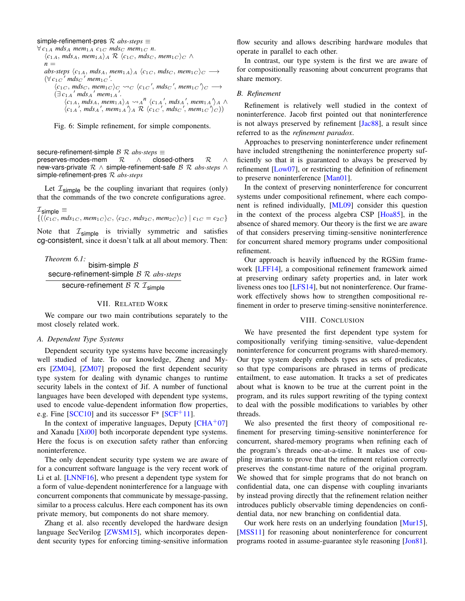# <span id="page-13-2"></span>simple-refinement-pres  $R$  *abs-steps*  $\equiv$

 $\forall$   $c_{1A}$  *mdsA mem*<sub>1</sub>A  $c_{1C}$  *mds<sub>C</sub> mem*<sub>1C</sub> *n*.  $\langle c_{1A}, d_{A}, d_{A}, \dots, d_{1A} \rangle_A \otimes \langle c_{1C}, d_{A}, \dots, d_{C} \rangle_C \wedge$  $n =$  $abs\text{-steps } \langle c_{1A}, \text{mds}_A, \text{mem}_1 \rangle_A \langle c_{1C}, \text{mds}_C, \text{mem}_1 \rangle_C \longrightarrow$  $(\forall c_{1C}$ <sup>'</sup>  $mds_{C}$ <sup>'</sup>  $mem_1C$ '.  $\langle c_{1C}, \text{mds}_C, \text{mem}_1c \rangle_C \rightsquigarrow_C \langle c_{1C}, \text{mds}_C, \text{mem}_1c \rangle_C \longrightarrow$  $(\exists c_{1A}^{\prime} \text{ mds}_{A}^{\prime} \text{ mem}_1 \text{A}^{\prime}.$  $\langle c_{1A}, mds_A, mem_{1A} \rangle_A \rightsquigarrow_A^n \langle c_{1A}', mds_A', mem_{1A} \rangle_A \wedge$  $\langle c_{1A} \rangle$ , *mds*<sub>A</sub>', *mem*<sub>1A</sub>' $\rangle$ <sub>A</sub> R  $\langle c_{1C} \rangle$ , *mds<sub>C</sub>'*, *mem*<sub>1C</sub>' $\rangle$ <sub>C</sub>))

Fig. 6: Simple refinement, for simple components.

secure-refinement-simple *B R abs-steps* ≡ preserves-modes-mem  $R \wedge \neg$  closed-others  $R \wedge \neg$ new-vars-private R ∧ simple-refinement-safe B R *abs-steps* ∧ simple-refinement-pres R *abs-steps*

Let  $\mathcal{I}_{\text{simple}}$  be the coupling invariant that requires (only) that the commands of the two concrete configurations agree.

 $\mathcal{I}_{\sf simple}$   $\equiv$  $\{(\langle c_{1C} \rangle m ds_{1C}, \textit{mem}_{1C} \rangle_C, \langle c_{2C}, \textit{mds}_{2C}, \textit{mem}_{2C} \rangle_C) | c_{1C} = c_{2C} \}$ 

Note that  $\mathcal{I}_{\text{simple}}$  is trivially symmetric and satisfies cg-consistent, since it doesn't talk at all about memory. Then:

*Theorem 6.1:* bisim-simple  $B$ secure-refinement-simple B R *abs-steps* secure-refinement  $\mathcal{B} \mathcal{R} \mathcal{I}_{simple}$ 

# VII. RELATED WORK

<span id="page-13-0"></span>We compare our two main contributions separately to the most closely related work.

#### *A. Dependent Type Systems*

Dependent security type systems have become increasingly well studied of late. To our knowledge, Zheng and Myers [\[ZM04\]](#page-14-23), [\[ZM07\]](#page-14-1) proposed the first dependent security type system for dealing with dynamic changes to runtime security labels in the context of Jif. A number of functional languages have been developed with dependent type systems, used to encode value-dependent information flow properties, e.g. Fine  $[SCC10]$  and its successor  $F^*$   $[SCF^+11]$  $[SCF^+11]$ .

In the context of imperative languages, Deputy  $[CHA<sup>+</sup>07]$  $[CHA<sup>+</sup>07]$ and Xanadu [\[Xi00\]](#page-14-25) both incorporate dependent type systems. Here the focus is on execution safety rather than enforcing noninterference.

The only dependent security type system we are aware of for a concurrent software language is the very recent work of Li et al. [\[LNNF16\]](#page-14-10), who present a dependent type system for a form of value-dependent noninterference for a language with concurrent components that communicate by message-passing, similar to a process calculus. Here each component has its own private memory, but components do not share memory.

Zhang et al. also recently developed the hardware design language SecVerilog [\[ZWSM15\]](#page-14-5), which incorporates dependent security types for enforcing timing-sensitive information

flow security and allows describing hardware modules that operate in parallel to each other.

In contrast, our type system is the first we are aware of for compositionally reasoning about concurrent programs that share memory.

#### *B. Refinement*

Refinement is relatively well studied in the context of noninterference. Jacob first pointed out that noninterference is not always preserved by refinement [\[Jac88\]](#page-14-26), a result since referred to as the *refinement paradox*.

Approaches to preserving noninterference under refinement have included strengthening the noninterference property sufficiently so that it is guaranteed to always be preserved by refinement [\[Low07\]](#page-14-27), or restricting the definition of refinement to preserve noninterference [\[Man01\]](#page-14-28).

In the context of preserving noninterference for concurrent systems under compositional refinement, where each component is refined individually, [\[ML09\]](#page-14-29) consider this question in the context of the process algebra CSP [\[Hoa85\]](#page-14-30), in the absence of shared memory. Our theory is the first we are aware of that considers preserving timing-sensitive noninterference for concurrent shared memory programs under compositional refinement.

Our approach is heavily influenced by the RGSim framework [\[LFF14\]](#page-14-20), a compositional refinement framework aimed at preserving ordinary safety properties and, in later work liveness ones too [\[LFS14\]](#page-14-31), but not noninterference. Our framework effectively shows how to strengthen compositional refinement in order to preserve timing-sensitive noninterference.

## VIII. CONCLUSION

<span id="page-13-1"></span>We have presented the first dependent type system for compositionally verifying timing-sensitive, value-dependent noninterference for concurrent programs with shared-memory. Our type system deeply embeds types as sets of predicates, so that type comparisons are phrased in terms of predicate entailment, to ease automation. It tracks a set of predicates about what is known to be true at the current point in the program, and its rules support rewriting of the typing context to deal with the possible modifications to variables by other threads.

We also presented the first theory of compositional refinement for preserving timing-sensitive noninterference for concurrent, shared-memory programs when refining each of the program's threads one-at-a-time. It makes use of coupling invariants to prove that the refinement relation correctly preserves the constant-time nature of the original program. We showed that for simple programs that do not branch on confidential data, one can dispense with coupling invariants by instead proving directly that the refinement relation neither introduces publicly observable timing dependencies on confidential data, nor new branching on confidential data.

Our work here rests on an underlying foundation [\[Mur15\]](#page-14-15), [\[MSS11\]](#page-14-14) for reasoning about noninterference for concurrent programs rooted in assume-guarantee style reasoning [\[Jon81\]](#page-14-32).